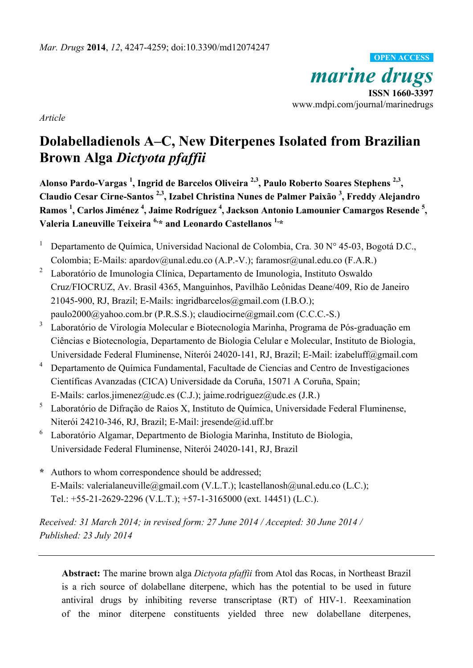*marine drugs* **ISSN 1660-3397** www.mdpi.com/journal/marinedrugs **OPEN ACCESS**

*Article*

# **Dolabelladienols A–C, New Diterpenes Isolated from Brazilian Brown Alga** *Dictyota pfaffii*

**Alonso Pardo-Vargas <sup>1</sup> , Ingrid de Barcelos Oliveira 2,3 , Paulo Roberto Soares Stephens 2,3 , Claudio Cesar Cirne-Santos 2,3, Izabel Christina Nunes de Palmer Paixão <sup>3</sup> , Freddy Alejandro Ramos <sup>1</sup> , Carlos Jiménez <sup>4</sup> , Jaime Rodríguez <sup>4</sup> , Jackson Antonio Lamounier Camargos Resende <sup>5</sup> , Valeria Laneuville Teixeira 6,\* and Leonardo Castellanos 1,\***

- <sup>1</sup> Departamento de Química, Universidad Nacional de Colombia, Cra. 30 N° 45-03, Bogotá D.C., Colombia; E-Mails: apardov@unal.edu.co (A.P.-V.); faramosr@unal.edu.co (F.A.R.)
- 2 Laboratório de Imunologia Clínica, Departamento de Imunologia, Instituto Oswaldo Cruz/FIOCRUZ, Av. Brasil 4365, Manguinhos, Pavilhão Leônidas Deane/409, Rio de Janeiro 21045-900, RJ, Brazil; E-Mails: ingridbarcelos@gmail.com (I.B.O.); paulo2000@yahoo.com.br (P.R.S.S.); claudiocirne@gmail.com (C.C.C.-S.)
- 3 Laboratório de Virologia Molecular e Biotecnologia Marinha, Programa de Pós-graduação em Ciências e Biotecnologia, Departamento de Biologia Celular e Molecular, Instituto de Biologia, Universidade Federal Fluminense, Niterói 24020-141, RJ, Brazil; E-Mail: izabeluff@gmail.com
- <sup>4</sup> Departamento de Química Fundamental, Facultade de Ciencias and Centro de Investigaciones Científicas Avanzadas (CICA) Universidade da Coruña, 15071 A Coruña, Spain; E-Mails: carlos.jimenez@udc.es (C.J.); jaime.rodriguez@udc.es (J.R.)
- 5 Laboratório de Difração de Raios X, Instituto de Química, Universidade Federal Fluminense, Niterói 24210-346, RJ, Brazil; E-Mail: jresende@id.uff.br
- 6 Laboratório Algamar, Departmento de Biologia Marinha, Instituto de Biologia, Universidade Federal Fluminense, Niterói 24020-141, RJ, Brazil
- **\*** Authors to whom correspondence should be addressed; E-Mails: valerialaneuville@gmail.com (V.L.T.); lcastellanosh@unal.edu.co (L.C.); Tel.: +55-21-2629-2296 (V.L.T.); +57-1-3165000 (ext. 14451) (L.C.).

*Received: 31 March 2014; in revised form: 27 June 2014 / Accepted: 30 June 2014 / Published: 23 July 2014*

**Abstract:** The marine brown alga *Dictyota pfaffii* from Atol das Rocas, in Northeast Brazil is a rich source of dolabellane diterpene, which has the potential to be used in future antiviral drugs by inhibiting reverse transcriptase (RT) of HIV-1. Reexamination of the minor diterpene constituents yielded three new dolabellane diterpenes,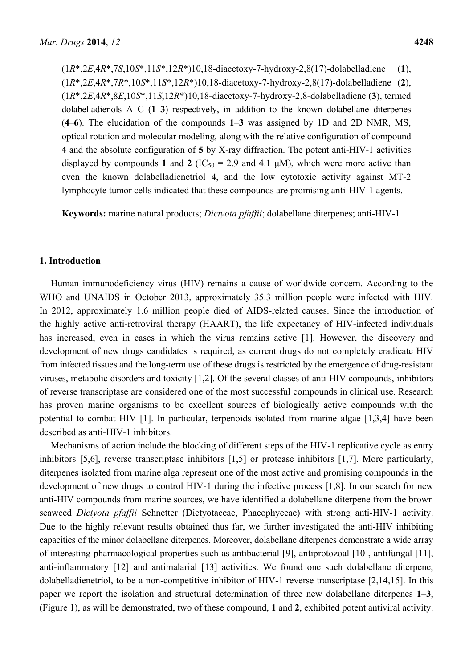(1*R*\*,2*E*,4*R*\*,7*S*,10*S*\*,11*S*\*,12*R*\*)10,18-diacetoxy-7-hydroxy-2,8(17)-dolabelladiene (**1**), (1*R*\*,2*E*,4*R*\*,7*R*\*,10*S*\*,11*S*\*,12*R*\*)10,18-diacetoxy-7-hydroxy-2,8(17)-dolabelladiene (**2**), (1*R*\*,2*E*,4*R*\*,8*E*,10*S*\*,11*S*,12*R*\*)10,18-diacetoxy-7-hydroxy-2,8-dolabelladiene (**3**), termed dolabelladienols A–C (**1**–**3**) respectively, in addition to the known dolabellane diterpenes (**4**–**6**). The elucidation of the compounds **1**–**3** was assigned by 1D and 2D NMR, MS, optical rotation and molecular modeling, along with the relative configuration of compound **4** and the absolute configuration of **5** by X-ray diffraction. The potent anti-HIV-1 activities displayed by compounds 1 and 2 ( $IC_{50} = 2.9$  and 4.1  $\mu$ M), which were more active than even the known dolabelladienetriol **4**, and the low cytotoxic activity against MT-2 lymphocyte tumor cells indicated that these compounds are promising anti-HIV-1 agents.

**Keywords:** marine natural products; *Dictyota pfaffii*; dolabellane diterpenes; anti-HIV-1

#### **1. Introduction**

Human immunodeficiency virus (HIV) remains a cause of worldwide concern. According to the WHO and UNAIDS in October 2013, approximately 35.3 million people were infected with HIV. In 2012, approximately 1.6 million people died of AIDS-related causes. Since the introduction of the highly active anti-retroviral therapy (HAART), the life expectancy of HIV-infected individuals has increased, even in cases in which the virus remains active [1]. However, the discovery and development of new drugs candidates is required, as current drugs do not completely eradicate HIV from infected tissues and the long-term use of these drugs is restricted by the emergence of drug-resistant viruses, metabolic disorders and toxicity [1,2]. Of the several classes of anti-HIV compounds, inhibitors of reverse transcriptase are considered one of the most successful compounds in clinical use. Research has proven marine organisms to be excellent sources of biologically active compounds with the potential to combat HIV [1]. In particular, terpenoids isolated from marine algae [1,3,4] have been described as anti-HIV-1 inhibitors.

Mechanisms of action include the blocking of different steps of the HIV-1 replicative cycle as entry inhibitors [5,6], reverse transcriptase inhibitors [1,5] or protease inhibitors [1,7]. More particularly, diterpenes isolated from marine alga represent one of the most active and promising compounds in the development of new drugs to control HIV-1 during the infective process [1,8]. In our search for new anti-HIV compounds from marine sources, we have identified a dolabellane diterpene from the brown seaweed *Dictyota pfaffii* Schnetter (Dictyotaceae, Phaeophyceae) with strong anti-HIV-1 activity. Due to the highly relevant results obtained thus far, we further investigated the anti-HIV inhibiting capacities of the minor dolabellane diterpenes. Moreover, dolabellane diterpenes demonstrate a wide array of interesting pharmacological properties such as antibacterial [9], antiprotozoal [10], antifungal [11], anti-inflammatory [12] and antimalarial [13] activities. We found one such dolabellane diterpene, dolabelladienetriol, to be a non-competitive inhibitor of HIV-1 reverse transcriptase [2,14,15]. In this paper we report the isolation and structural determination of three new dolabellane diterpenes **1**–**3**, (Figure 1), as will be demonstrated, two of these compound, **1** and **2**, exhibited potent antiviral activity.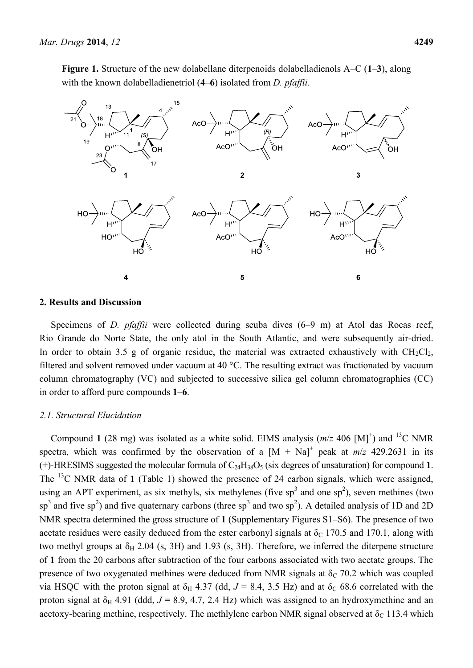**Figure 1.** Structure of the new dolabellane diterpenoids dolabelladienols A–C (**1**–**3**), along with the known dolabelladienetriol (**4**–**6**) isolated from *D. pfaffii*.



#### **2. Results and Discussion**

Specimens of *D. pfaffii* were collected during scuba dives (6–9 m) at Atol das Rocas reef, Rio Grande do Norte State, the only atol in the South Atlantic, and were subsequently air-dried. In order to obtain 3.5 g of organic residue, the material was extracted exhaustively with  $CH_2Cl_2$ , filtered and solvent removed under vacuum at 40 °C. The resulting extract was fractionated by vacuum column chromatography (VC) and subjected to successive silica gel column chromatographies (CC) in order to afford pure compounds **1**–**6**.

#### *2.1. Structural Elucidation*

Compound 1 (28 mg) was isolated as a white solid. EIMS analysis  $(m/z 406 \text{ [M]}^+)$  and <sup>13</sup>C NMR spectra, which was confirmed by the observation of a  $[M + Na]<sup>+</sup>$  peak at  $m/z$  429.2631 in its  $(+)$ -HRESIMS suggested the molecular formula of  $C_{24}H_{38}O_5$  (six degrees of unsaturation) for compound 1. The <sup>13</sup>C NMR data of **1** (Table 1) showed the presence of 24 carbon signals, which were assigned, using an APT experiment, as six methyls, six methylenes (five  $sp<sup>3</sup>$  and one  $sp<sup>2</sup>$ ), seven methines (two sp<sup>3</sup> and five sp<sup>2</sup>) and five quaternary carbons (three sp<sup>3</sup> and two sp<sup>2</sup>). A detailed analysis of 1D and 2D NMR spectra determined the gross structure of **1** (Supplementary Figures S1–S6). The presence of two acetate residues were easily deduced from the ester carbonyl signals at  $\delta_c$  170.5 and 170.1, along with two methyl groups at  $\delta_H$  2.04 (s, 3H) and 1.93 (s, 3H). Therefore, we inferred the diterpene structure of **1** from the 20 carbons after subtraction of the four carbons associated with two acetate groups. The presence of two oxygenated methines were deduced from NMR signals at  $\delta_c$  70.2 which was coupled via HSQC with the proton signal at  $\delta_H$  4.37 (dd,  $J = 8.4$ , 3.5 Hz) and at  $\delta_C$  68.6 correlated with the proton signal at  $\delta_H$  4.91 (ddd,  $J = 8.9$ , 4.7, 2.4 Hz) which was assigned to an hydroxymethine and an acetoxy-bearing methine, respectively. The methlylene carbon NMR signal observed at  $\delta_c$  113.4 which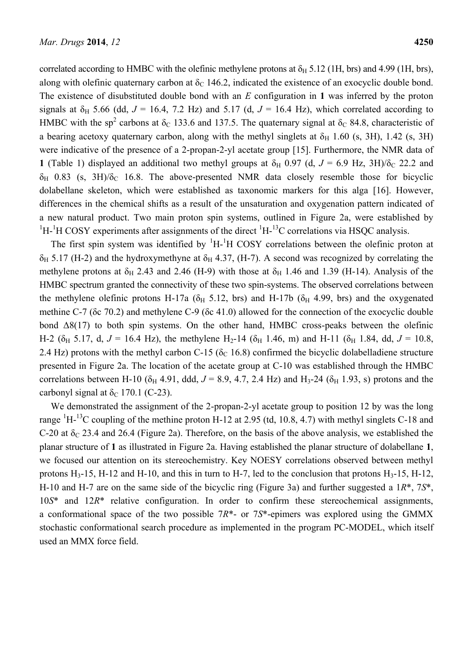correlated according to HMBC with the olefinic methylene protons at  $\delta_H$  5.12 (1H, brs) and 4.99 (1H, brs), along with olefinic quaternary carbon at  $\delta_{\rm C}$  146.2, indicated the existence of an exocyclic double bond. The existence of disubstituted double bond with an *E* configuration in **1** was inferred by the proton signals at  $\delta_H$  5.66 (dd,  $J = 16.4$ , 7.2 Hz) and 5.17 (d,  $J = 16.4$  Hz), which correlated according to HMBC with the sp<sup>2</sup> carbons at  $\delta_c$  133.6 and 137.5. The quaternary signal at  $\delta_c$  84.8, characteristic of a bearing acetoxy quaternary carbon, along with the methyl singlets at  $\delta_H$  1.60 (s, 3H), 1.42 (s, 3H) were indicative of the presence of a 2-propan-2-yl acetate group [15]. Furthermore, the NMR data of **1** (Table 1) displayed an additional two methyl groups at  $\delta_H$  0.97 (d,  $J = 6.9$  Hz, 3H)/ $\delta_C$  22.2 and  $\delta_H$  0.83 (s, 3H)/ $\delta_C$  16.8. The above-presented NMR data closely resemble those for bicyclic dolabellane skeleton, which were established as taxonomic markers for this alga [16]. However, differences in the chemical shifts as a result of the unsaturation and oxygenation pattern indicated of a new natural product. Two main proton spin systems, outlined in Figure 2a, were established by  ${}^{1}$ H- ${}^{1}$ H COSY experiments after assignments of the direct  ${}^{1}$ H- ${}^{13}$ C correlations via HSQC analysis.

The first spin system was identified by  ${}^{1}H-{}^{1}H$  COSY correlations between the olefinic proton at  $\delta_H$  5.17 (H-2) and the hydroxymethyne at  $\delta_H$  4.37, (H-7). A second was recognized by correlating the methylene protons at  $\delta_H$  2.43 and 2.46 (H-9) with those at  $\delta_H$  1.46 and 1.39 (H-14). Analysis of the HMBC spectrum granted the connectivity of these two spin-systems. The observed correlations between the methylene olefinic protons H-17a ( $\delta_H$  5.12, brs) and H-17b ( $\delta_H$  4.99, brs) and the oxygenated methine C-7 (δc 70.2) and methylene C-9 (δc 41.0) allowed for the connection of the exocyclic double bond  $\Delta 8(17)$  to both spin systems. On the other hand, HMBC cross-peaks between the olefinic H-2 ( $\delta_H$  5.17, d,  $J = 16.4$  Hz), the methylene H<sub>2</sub>-14 ( $\delta_H$  1.46, m) and H-11 ( $\delta_H$  1.84, dd,  $J = 10.8$ , 2.4 Hz) protons with the methyl carbon C-15 ( $\delta$ <sub>C</sub> 16.8) confirmed the bicyclic dolabelladiene structure presented in Figure 2a. The location of the acetate group at C-10 was established through the HMBC correlations between H-10 ( $\delta$ <sub>H</sub> 4.91, ddd, *J* = 8.9, 4.7, 2.4 Hz) and H<sub>3</sub>-24 ( $\delta$ <sub>H</sub> 1.93, s) protons and the carbonyl signal at  $\delta_c$  170.1 (C-23).

We demonstrated the assignment of the 2-propan-2-yl acetate group to position 12 by was the long range  ${}^{1}H-{}^{13}C$  coupling of the methine proton H-12 at 2.95 (td, 10.8, 4.7) with methyl singlets C-18 and C-20 at  $\delta$ <sub>C</sub> 23.4 and 26.4 (Figure 2a). Therefore, on the basis of the above analysis, we established the planar structure of **1** as illustrated in Figure 2a. Having established the planar structure of dolabellane **1**, we focused our attention on its stereochemistry. Key NOESY correlations observed between methyl protons  $H_3$ -15, H-12 and H-10, and this in turn to H-7, led to the conclusion that protons  $H_3$ -15, H-12, H-10 and H-7 are on the same side of the bicyclic ring (Figure 3a) and further suggested a 1*R*\*, 7*S*\*, 10*S*\* and 12*R*\* relative configuration. In order to confirm these stereochemical assignments, a conformational space of the two possible 7*R*\*- or 7*S*\*-epimers was explored using the GMMX stochastic conformational search procedure as implemented in the program PC-MODEL, which itself used an MMX force field.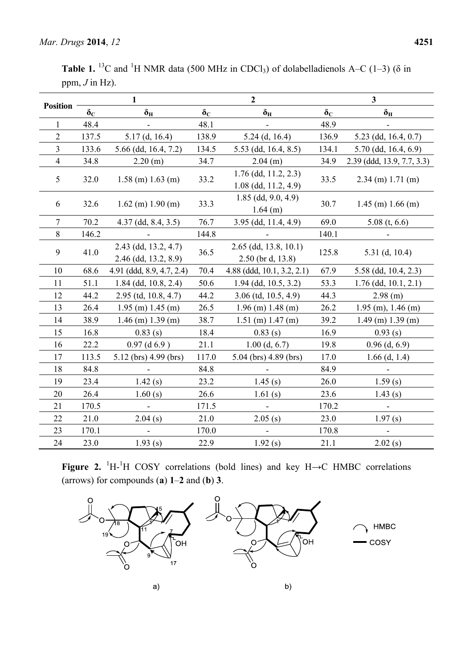**Table 1.** <sup>13</sup>C and <sup>1</sup>H NMR data (500 MHz in CDCl<sub>3</sub>) of dolabelladienols A–C (1–3) ( $\delta$  in ppm, *J* in Hz).

| <b>Position</b> | 1                |                                              | $\overline{2}$   |                                                   | $\overline{3}$   |                            |
|-----------------|------------------|----------------------------------------------|------------------|---------------------------------------------------|------------------|----------------------------|
|                 | $\delta_{\rm C}$ | $\delta_{\rm H}$                             | $\delta_{\rm C}$ | $\delta_{\rm H}$                                  | $\delta_{\rm C}$ | $\delta_{\rm H}$           |
|                 | 48.4             |                                              | 48.1             |                                                   | 48.9             |                            |
| $\overline{2}$  | 137.5            | $5.17$ (d, 16.4)                             | 138.9            | $5.24$ (d, 16.4)                                  | 136.9            | $5.23$ (dd, 16.4, 0.7)     |
| 3               | 133.6            | 5.66 (dd, 16.4, 7.2)                         | 134.5            | $5.53$ (dd, 16.4, 8.5)                            | 134.1            | 5.70 (dd, 16.4, 6.9)       |
| $\overline{4}$  | 34.8             | 2.20 (m)                                     | 34.7             | $2.04$ (m)                                        | 34.9             | 2.39 (ddd, 13.9, 7.7, 3.3) |
| 5               | 32.0             | $1.58$ (m) $1.63$ (m)                        | 33.2             | $1.76$ (dd, $11.2, 2.3$ )<br>1.08 (dd, 11.2, 4.9) | 33.5             | $2.34$ (m) 1.71 (m)        |
| 6               | 32.6             | $1.62$ (m) $1.90$ (m)                        | 33.3             | $1.85$ (dd, 9.0, 4.9)<br>$1.64$ (m)               | 30.7             | $1.45$ (m) $1.66$ (m)      |
| $\tau$          | 70.2             | $4.37$ (dd, 8.4, 3.5)                        | 76.7             | 3.95 (dd, 11.4, 4.9)                              | 69.0             | $5.08$ (t, 6.6)            |
| 8               | 146.2            |                                              | 144.8            |                                                   | 140.1            |                            |
| 9               | 41.0             | 2.43 (dd, 13.2, 4.7)<br>2.46 (dd, 13.2, 8.9) | 36.5             | $2.65$ (dd, 13.8, 10.1)<br>$2.50$ (br d, 13.8)    | 125.8            | 5.31 $(d, 10.4)$           |
| 10              | 68.6             | 4.91 (ddd, 8.9, 4.7, 2.4)                    | 70.4             | 4.88 (ddd, 10.1, 3.2, 2.1)                        | 67.9             | 5.58 (dd, 10.4, 2.3)       |
| 11              | 51.1             | $1.84$ (dd, $10.8, 2.4$ )                    | 50.6             | $1.94$ (dd, $10.5, 3.2$ )                         | 53.3             | $1.76$ (dd, $10.1, 2.1$ )  |
| 12              | 44.2             | 2.95 (td, 10.8, 4.7)                         | 44.2             | $3.06$ (td, 10.5, 4.9)                            | 44.3             | $2.98$ (m)                 |
| 13              | 26.4             | $1.95$ (m) $1.45$ (m)                        | 26.5             | $1.96$ (m) $1.48$ (m)                             | 26.2             | $1.95$ (m), $1.46$ (m)     |
| 14              | 38.9             | $1.46$ (m) $1.39$ (m)                        | 38.7             | $1.51$ (m) $1.47$ (m)                             | 39.2             | $1.49$ (m) $1.39$ (m)      |
| 15              | 16.8             | 0.83(s)                                      | 18.4             | 0.83(s)                                           | 16.9             | 0.93(s)                    |
| 16              | 22.2             | $0.97$ (d 6.9)                               | 21.1             | $1.00$ (d, 6.7)                                   | 19.8             | $0.96$ (d, 6.9)            |
| 17              | 113.5            | 5.12 (brs) 4.99 (brs)                        | 117.0            | 5.04 (brs) 4.89 (brs)                             | 17.0             | $1.66$ (d, 1.4)            |
| 18              | 84.8             |                                              | 84.8             |                                                   | 84.9             |                            |
| 19              | 23.4             | 1.42(s)                                      | 23.2             | 1.45(s)                                           | 26.0             | 1.59(s)                    |
| 20              | 26.4             | 1.60(s)                                      | 26.6             | 1.61(s)                                           | 23.6             | 1.43(s)                    |
| 21              | 170.5            |                                              | 171.5            |                                                   | 170.2            |                            |
| 22              | 21.0             | 2.04(s)                                      | 21.0             | 2.05(s)                                           | 23.0             | 1.97(s)                    |
| 23              | 170.1            |                                              | 170.0            |                                                   | 170.8            |                            |
| 24              | 23.0             | 1.93(s)                                      | 22.9             | 1.92(s)                                           | 21.1             | 2.02(s)                    |

**Figure 2.** <sup>1</sup>H-<sup>1</sup>H COSY correlations (bold lines) and key H $\rightarrow$ C HMBC correlations (arrows) for compounds (**a**) **1**–**2** and (**b**) **3**.

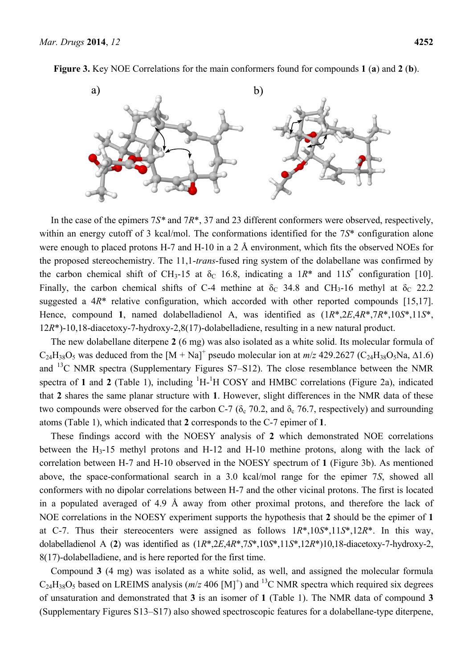

**Figure 3.** Key NOE Correlations for the main conformers found for compounds **1** (**a**) and **2** (**b**).

In the case of the epimers 7*S\** and 7*R*\*, 37 and 23 different conformers were observed, respectively, within an energy cutoff of 3 kcal/mol. The conformations identified for the 7*S*<sup>\*</sup> configuration alone were enough to placed protons H-7 and H-10 in a 2 Å environment, which fits the observed NOEs for the proposed stereochemistry. The 11,1-*trans*-fused ring system of the dolabellane was confirmed by the carbon chemical shift of CH<sub>3</sub>-15 at  $\delta_c$  16.8, indicating a 1R<sup>\*</sup> and 11*S*<sup>\*</sup> configuration [10]. Finally, the carbon chemical shifts of C-4 methine at  $\delta_c$  34.8 and CH<sub>3</sub>-16 methyl at  $\delta_c$  22.2 suggested a  $4R^*$  relative configuration, which accorded with other reported compounds [15,17]. Hence, compound **1**, named dolabelladienol A, was identified as (1*R*\*,2*E*,4*R*\*,7*R*\*,10*S*\*,11*S*\*, 12*R*\*)-10,18-diacetoxy-7-hydroxy-2,8(17)-dolabelladiene, resulting in a new natural product.

The new dolabellane diterpene **2** (6 mg) was also isolated as a white solid. Its molecular formula of  $C_{24}H_{38}O_5$  was deduced from the  $[M + Na]^+$  pseudo molecular ion at  $m/z$  429.2627 ( $C_{24}H_{38}O_5$ Na,  $\Delta 1.6$ ) and  $^{13}$ C NMR spectra (Supplementary Figures S7–S12). The close resemblance between the NMR spectra of 1 and 2 (Table 1), including  ${}^{1}H-{}^{1}H$  COSY and HMBC correlations (Figure 2a), indicated that **2** shares the same planar structure with **1**. However, slight differences in the NMR data of these two compounds were observed for the carbon C-7 ( $\delta_c$  70.2, and  $\delta_c$  76.7, respectively) and surrounding atoms (Table 1), which indicated that **2** corresponds to the C-7 epimer of **1**.

These findings accord with the NOESY analysis of **2** which demonstrated NOE correlations between the H3-15 methyl protons and H-12 and H-10 methine protons, along with the lack of correlation between H-7 and H-10 observed in the NOESY spectrum of **1** (Figure 3b). As mentioned above, the space-conformational search in a 3.0 kcal/mol range for the epimer 7*S*, showed all conformers with no dipolar correlations between H-7 and the other vicinal protons. The first is located in a populated averaged of 4.9 Å away from other proximal protons, and therefore the lack of NOE correlations in the NOESY experiment supports the hypothesis that **2** should be the epimer of **1** at C-7. Thus their stereocenters were assigned as follows 1*R*\*,10*S*\*,11*S*\*,12*R*\*. In this way, dolabelladienol A (**2**) was identified as (1*R*\*,2*E*,4*R*\*,7*S*\*,10*S*\*,11*S*\*,12*R*\*)10,18-diacetoxy-7-hydroxy-2, 8(17)-dolabelladiene, and is here reported for the first time.

Compound **3** (4 mg) was isolated as a white solid, as well, and assigned the molecular formula  $C_{24}H_{38}O_5$  based on LREIMS analysis ( $m/z$  406 [M]<sup>+</sup>) and <sup>13</sup>C NMR spectra which required six degrees of unsaturation and demonstrated that **3** is an isomer of **1** (Table 1). The NMR data of compound **3** (Supplementary Figures S13–S17) also showed spectroscopic features for a dolabellane-type diterpene,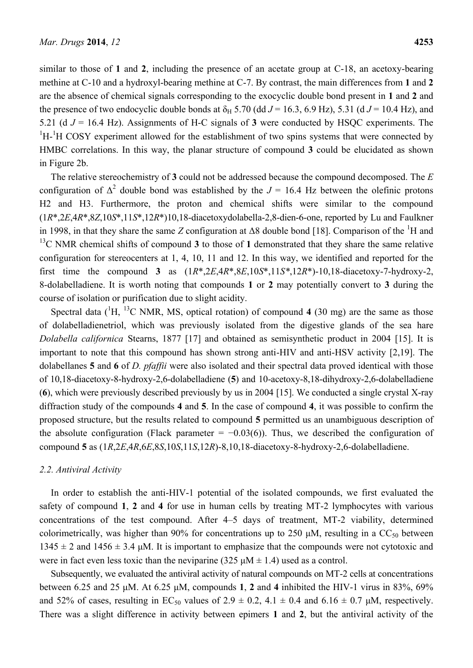similar to those of **1** and **2**, including the presence of an acetate group at C-18, an acetoxy-bearing methine at C-10 and a hydroxyl-bearing methine at C-7. By contrast, the main differences from **1** and **2** are the absence of chemical signals corresponding to the exocyclic double bond present in **1** and **2** and the presence of two endocyclic double bonds at  $\delta_H$  5.70 (dd *J* = 16.3, 6.9 Hz), 5.31 (d *J* = 10.4 Hz), and 5.21 (d *J* = 16.4 Hz). Assignments of H-C signals of **3** were conducted by HSQC experiments. The  ${}^{1}$ H- ${}^{1}$ H COSY experiment allowed for the establishment of two spins systems that were connected by HMBC correlations. In this way, the planar structure of compound **3** could be elucidated as shown in Figure 2b.

The relative stereochemistry of **3** could not be addressed because the compound decomposed. The *E* configuration of  $\Delta^2$  double bond was established by the  $J = 16.4$  Hz between the olefinic protons H2 and H3. Furthermore, the proton and chemical shifts were similar to the compound (1*R*\*,2*E*,4*R*\*,8*Z*,10*S*\*,11*S*\*,12*R*\*)10,18-diacetoxydolabella-2,8-dien-6-one, reported by Lu and Faulkner in 1998, in that they share the same *Z* configuration at  $\Delta 8$  double bond [18]. Comparison of the <sup>1</sup>H and <sup>13</sup>C NMR chemical shifts of compound **3** to those of **1** demonstrated that they share the same relative configuration for stereocenters at 1, 4, 10, 11 and 12. In this way, we identified and reported for the first time the compound **3** as (1*R*\*,2*E*,4*R*\*,8*E*,10*S*\*,11*S\**,12*R*\*)-10,18-diacetoxy-7-hydroxy-2, 8-dolabelladiene. It is worth noting that compounds **1** or **2** may potentially convert to **3** during the course of isolation or purification due to slight acidity.

Spectral data  $({}^{1}H, {}^{13}C)$  NMR, MS, optical rotation) of compound **4** (30 mg) are the same as those of dolabelladienetriol, which was previously isolated from the digestive glands of the sea hare *Dolabella californica* Stearns, 1877 [17] and obtained as semisynthetic product in 2004 [15]. It is important to note that this compound has shown strong anti-HIV and anti-HSV activity [2,19]. The dolabellanes **5** and **6** of *D. pfaffii* were also isolated and their spectral data proved identical with those of 10,18-diacetoxy-8-hydroxy-2,6-dolabelladiene (**5**) and 10-acetoxy-8,18-dihydroxy-2,6-dolabelladiene (**6**), which were previously described previously by us in 2004 [15]. We conducted a single crystal X-ray diffraction study of the compounds **4** and **5**. In the case of compound **4**, it was possible to confirm the proposed structure, but the results related to compound **5** permitted us an unambiguous description of the absolute configuration (Flack parameter =  $-0.03(6)$ ). Thus, we described the configuration of compound **5** as (1*R*,2*E*,4*R*,6*E*,8*S*,10*S*,11*S*,12*R*)-8,10,18-diacetoxy-8-hydroxy-2,6-dolabelladiene.

#### *2.2. Antiviral Activity*

In order to establish the anti-HIV-1 potential of the isolated compounds, we first evaluated the safety of compound **1**, **2** and **4** for use in human cells by treating MT-2 lymphocytes with various concentrations of the test compound. After 4–5 days of treatment, MT-2 viability, determined colorimetrically, was higher than 90% for concentrations up to 250  $\mu$ M, resulting in a CC<sub>50</sub> between  $1345 \pm 2$  and  $1456 \pm 3.4$   $\mu$ M. It is important to emphasize that the compounds were not cytotoxic and were in fact even less toxic than the neviparine (325  $\mu$ M  $\pm$  1.4) used as a control.

Subsequently, we evaluated the antiviral activity of natural compounds on MT-2 cells at concentrations between 6.25 and 25 μM. At 6.25 μM, compounds **1**, **2** and **4** inhibited the HIV-1 virus in 83%, 69% and 52% of cases, resulting in EC<sub>50</sub> values of 2.9  $\pm$  0.2, 4.1  $\pm$  0.4 and 6.16  $\pm$  0.7  $\mu$ M, respectively. There was a slight difference in activity between epimers **1** and **2**, but the antiviral activity of the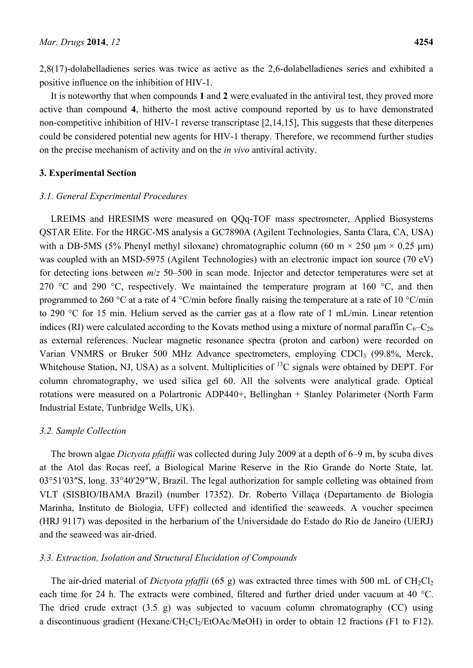2,8(17)-dolabelladienes series was twice as active as the 2,6-dolabelladienes series and exhibited a positive influence on the inhibition of HIV-1.

It is noteworthy that when compounds **1** and **2** were evaluated in the antiviral test, they proved more active than compound **4**, hitherto the most active compound reported by us to have demonstrated non-competitive inhibition of HIV-1 reverse transcriptase [2,14,15], This suggests that these diterpenes could be considered potential new agents for HIV-1 therapy. Therefore, we recommend further studies on the precise mechanism of activity and on the *in vivo* antiviral activity.

## **3. Experimental Section**

## *3.1. General Experimental Procedures*

LREIMS and HRESIMS were measured on QQq-TOF mass spectrometer, Applied Biosystems QSTAR Elite. For the HRGC-MS analysis a GC7890A (Agilent Technologies, Santa Clara, CA, USA) with a DB-5MS (5% Phenyl methyl siloxane) chromatographic column (60 m  $\times$  250  $\mu$ m  $\times$  0.25  $\mu$ m) was coupled with an MSD-5975 (Agilent Technologies) with an electronic impact ion source (70 eV) for detecting ions between *m*/*z* 50–500 in scan mode. Injector and detector temperatures were set at 270 °C and 290 °C, respectively. We maintained the temperature program at 160 °C, and then programmed to 260 °C at a rate of 4 °C/min before finally raising the temperature at a rate of 10 °C/min to 290 °C for 15 min. Helium served as the carrier gas at a flow rate of 1 mL/min. Linear retention indices (RI) were calculated according to the Kovats method using a mixture of normal paraffin  $C_6-C_{26}$ as external references. Nuclear magnetic resonance spectra (proton and carbon) were recorded on Varian VNMRS or Bruker 500 MHz Advance spectrometers, employing CDCl<sub>3</sub> (99.8%, Merck, Whitehouse Station, NJ, USA) as a solvent. Multiplicities of  ${}^{13}C$  signals were obtained by DEPT. For column chromatography, we used silica gel 60. All the solvents were analytical grade. Optical rotations were measured on a Polartronic ADP440+, Bellinghan + Stanley Polarimeter (North Farm Industrial Estate, Tunbridge Wells, UK).

# *3.2. Sample Collection*

The brown algae *Dictyota pfaffii* was collected during July 2009 at a depth of 6–9 m, by scuba dives at the Atol das Rocas reef, a Biological Marine Reserve in the Rio Grande do Norte State, lat. 03°51′03″S, long. 33°40′29″W, Brazil. The legal authorization for sample colleting was obtained from VLT (SISBIO/IBAMA Brazil) (number 17352). Dr. Roberto Villaça (Departamento de Biologia Marinha, Instituto de Biologia, UFF) collected and identified the seaweeds. A voucher specimen (HRJ 9117) was deposited in the herbarium of the Universidade do Estado do Rio de Janeiro (UERJ) and the seaweed was air-dried.

# *3.3. Extraction, Isolation and Structural Elucidation of Compounds*

The air-dried material of *Dictyota pfaffii* (65 g) was extracted three times with 500 mL of  $CH_2Cl_2$ each time for 24 h. The extracts were combined, filtered and further dried under vacuum at 40 °C. The dried crude extract (3.5 g) was subjected to vacuum column chromatography (CC) using a discontinuous gradient (Hexane/CH<sub>2</sub>Cl<sub>2</sub>/EtOAc/MeOH) in order to obtain 12 fractions (F1 to F12).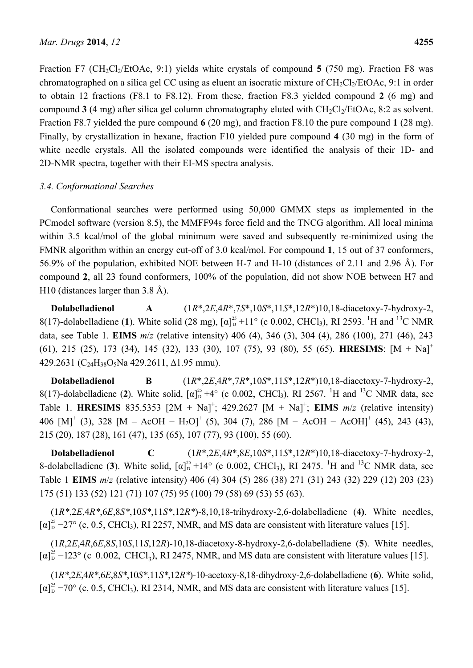Fraction F7 (CH<sub>2</sub>Cl<sub>2</sub>/EtOAc, 9:1) yields white crystals of compound 5 (750 mg). Fraction F8 was chromatographed on a silica gel CC using as eluent an isocratic mixture of  $CH_2Cl_2/EtOAc$ , 9:1 in order to obtain 12 fractions (F8.1 to F8.12). From these, fraction F8.3 yielded compound **2** (6 mg) and compound **3** (4 mg) after silica gel column chromatography eluted with  $CH_2Cl_2/EtOAc$ , 8:2 as solvent. Fraction F8.7 yielded the pure compound **6** (20 mg), and fraction F8.10 the pure compound **1** (28 mg). Finally, by crystallization in hexane, fraction F10 yielded pure compound **4** (30 mg) in the form of white needle crystals. All the isolated compounds were identified the analysis of their 1D- and 2D-NMR spectra, together with their EI-MS spectra analysis.

## *3.4. Conformational Searches*

Conformational searches were performed using 50,000 GMMX steps as implemented in the PCmodel software (version 8.5), the MMFF94s force field and the TNCG algorithm. All local minima within 3.5 kcal/mol of the global minimum were saved and subsequently re-minimized using the FMNR algorithm within an energy cut-off of 3.0 kcal/mol. For compound **1**, 15 out of 37 conformers, 56.9% of the population, exhibited NOE between H-7 and H-10 (distances of 2.11 and 2.96 Å). For compound **2**, all 23 found conformers, 100% of the population, did not show NOE between H7 and H10 (distances larger than 3.8 Å).

**Dolabelladienol A** (1*R*\*,2*E*,4*R*\*,7*S*\*,10*S*\*,11*S*\*,12*R*\*)10,18-diacetoxy-7-hydroxy-2, 8(17)-dolabelladiene (1). White solid (28 mg),  $[\alpha]_D^{25} + 11^\circ$  (c 0.002, CHCl<sub>3</sub>), RI 2593. <sup>1</sup>H and <sup>13</sup>C NMR data, see Table 1. **EIMS** *m*/*z* (relative intensity) 406 (4), 346 (3), 304 (4), 286 (100), 271 (46), 243 (61), 215 (25), 173 (34), 145 (32), 133 (30), 107 (75), 93 (80), 55 (65). **HRESIMS**: [M + Na]<sup>+</sup> 429.2631 (C24H38O5Na 429.2611, ∆1.95 mmu).

**Dolabelladienol B** (1*R*\*,2*E*,4*R*\*,7*R*\*,10*S*\*,11*S*\*,12*R*\*)10,18-diacetoxy-7-hydroxy-2,  $8(17)$ -dolabelladiene (2). White solid,  $[\alpha]_D^{25} + 4^\circ$  (c 0.002, CHCl<sub>3</sub>), RI 2567. <sup>1</sup>H and <sup>13</sup>C NMR data, see Table 1. **HRESIMS** 835.5353  $[2M + Na]^+$ ; 429.2627  $[M + Na]^+$ ; **EIMS**  $m/z$  (relative intensity) 406 [M]<sup>+</sup> (3), 328 [M – AcOH − H2O]<sup>+</sup> (5), 304 (7), 286 [M − AcOH − AcOH]<sup>+</sup> (45), 243 (43), 215 (20), 187 (28), 161 (47), 135 (65), 107 (77), 93 (100), 55 (60).

**Dolabelladienol C** (1*R*\*,2*E*,4*R*\*,8*E*,10*S*\*,11*S*\*,12*R*\*)10,18-diacetoxy-7-hydroxy-2, 8-dolabelladiene (3). White solid,  $[\alpha]_D^{25} + 14^\circ$  (c 0.002, CHCl<sub>3</sub>), RI 2475. <sup>1</sup>H and <sup>13</sup>C NMR data, see Table 1 **EIMS** *m*/*z* (relative intensity) 406 (4) 304 (5) 286 (38) 271 (31) 243 (32) 229 (12) 203 (23) 175 (51) 133 (52) 121 (71) 107 (75) 95 (100) 79 (58) 69 (53) 55 (63).

(1*R\**,2*E*,4*R\**,6*E*,8*S\**,10*S\**,11*S\**,12*R\**)-8,10,18-trihydroxy-2,6-dolabelladiene (**4)**. White needles,  $[\alpha]_D^{25}$  –27° (c, 0.5, CHCl<sub>3</sub>), RI 2257, NMR, and MS data are consistent with literature values [15].

(1*R*,2*E*,4*R*,6*E*,8*S*,10*S*,11*S*,12*R*)-10,18-diacetoxy-8-hydroxy-2,6-dolabelladiene (**5**). White needles,  $[\alpha]_D^{25}$  –123° (c 0.002, CHCl<sub>3</sub>), RI 2475, NMR, and MS data are consistent with literature values [15].

(1*R\**,2*E*,4*R\**,6*E*,8*S\**,10*S\**,11*S\**,12*R\**)-10-acetoxy-8,18-dihydroxy-2,6-dolabelladiene (**6**). White solid,  $[\alpha]_D^{25}$  –70° (c, 0.5, CHCl<sub>3</sub>), RI 2314, NMR, and MS data are consistent with literature values [15].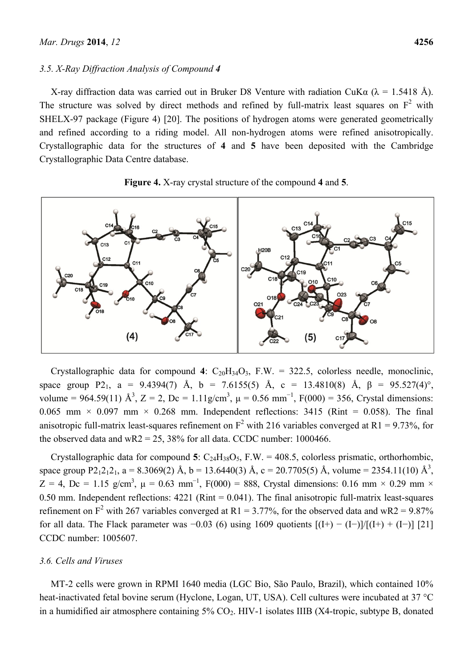#### *3.5. X-Ray Diffraction Analysis of Compound 4*

X-ray diffraction data was carried out in Bruker D8 Venture with radiation CuK $\alpha$  ( $\lambda$  = 1.5418 Å). The structure was solved by direct methods and refined by full-matrix least squares on  $F^2$  with SHELX-97 package (Figure 4) [20]. The positions of hydrogen atoms were generated geometrically and refined according to a riding model. All non-hydrogen atoms were refined anisotropically. Crystallographic data for the structures of **4** and **5** have been deposited with the Cambridge Crystallographic Data Centre database.

## **Figure 4.** X-ray crystal structure of the compound **4** and **5**.



Crystallographic data for compound 4:  $C_{20}H_{34}O_3$ , F.W. = 322.5, colorless needle, monoclinic, space group P2<sub>1</sub>, a = 9.4394(7) Å, b = 7.6155(5) Å, c = 13.4810(8) Å,  $\beta$  = 95.527(4)°, volume = 964.59(11)  $\mathring{A}^3$ , Z = 2, Dc = 1.11g/cm<sup>3</sup>,  $\mu$  = 0.56 mm<sup>-1</sup>, F(000) = 356, Crystal dimensions: 0.065 mm  $\times$  0.097 mm  $\times$  0.268 mm. Independent reflections: 3415 (Rint = 0.058). The final anisotropic full-matrix least-squares refinement on  $F^2$  with 216 variables converged at R1 = 9.73%, for the observed data and  $wR2 = 25$ , 38% for all data. CCDC number: 1000466.

Crystallographic data for compound  $5: C_{24}H_{38}O_5$ , F.W. = 408.5, colorless prismatic, orthorhombic, space group P2<sub>1</sub>2<sub>1</sub>2<sub>1</sub>, a = 8.3069(2) Å, b = 13.6440(3) Å, c = 20.7705(5) Å, volume = 2354.11(10) Å<sup>3</sup>,  $Z = 4$ , Dc = 1.15 g/cm<sup>3</sup>,  $\mu = 0.63$  mm<sup>-1</sup>, F(000) = 888, Crystal dimensions: 0.16 mm × 0.29 mm × 0.50 mm. Independent reflections:  $4221$  (Rint = 0.041). The final anisotropic full-matrix least-squares refinement on  $F^2$  with 267 variables converged at R1 = 3.77%, for the observed data and wR2 = 9.87% for all data. The Flack parameter was  $-0.03$  (6) using 1609 quotients  $[(I+) - (I-)]/[(I+) + (I-)]$  [21] CCDC number: 1005607.

#### *3.6. Cells and Viruses*

MT-2 cells were grown in RPMI 1640 media (LGC Bio, São Paulo, Brazil), which contained 10% heat-inactivated fetal bovine serum (Hyclone, Logan, UT, USA). Cell cultures were incubated at 37 °C in a humidified air atmosphere containing  $5\%$  CO<sub>2</sub>. HIV-1 isolates IIIB (X4-tropic, subtype B, donated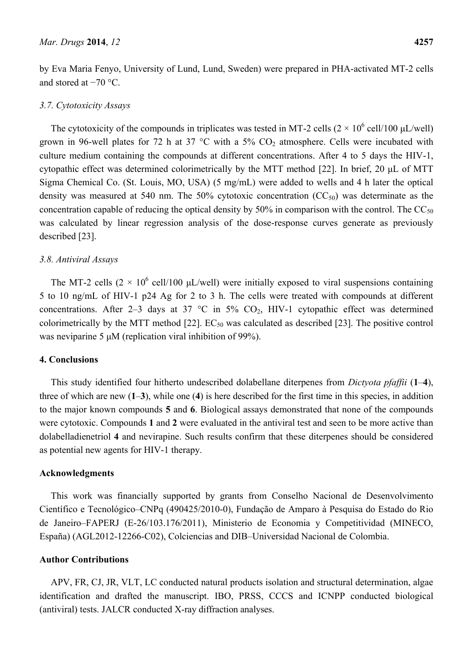by Eva Maria Fenyo, University of Lund, Lund, Sweden) were prepared in PHA-activated MT-2 cells and stored at −70 °C.

#### *3.7. Cytotoxicity Assays*

The cytotoxicity of the compounds in triplicates was tested in MT-2 cells  $(2 \times 10^6 \text{ cell}/100 \text{ }\mu\text{L/well})$ grown in 96-well plates for 72 h at 37 °C with a 5%  $CO<sub>2</sub>$  atmosphere. Cells were incubated with culture medium containing the compounds at different concentrations. After 4 to 5 days the HIV-1, cytopathic effect was determined colorimetrically by the MTT method [22]. In brief, 20 μL of MTT Sigma Chemical Co. (St. Louis, MO, USA) (5 mg/mL) were added to wells and 4 h later the optical density was measured at 540 nm. The 50% cytotoxic concentration  $(CC<sub>50</sub>)$  was determinate as the concentration capable of reducing the optical density by 50% in comparison with the control. The  $CC_{50}$ was calculated by linear regression analysis of the dose-response curves generate as previously described [23].

#### *3.8. Antiviral Assays*

The MT-2 cells  $(2 \times 10^6 \text{ cell}/100 \text{ }\mu\text{L}/\text{well})$  were initially exposed to viral suspensions containing 5 to 10 ng/mL of HIV-1 p24 Ag for 2 to 3 h. The cells were treated with compounds at different concentrations. After 2–3 days at 37  $\degree$ C in 5% CO<sub>2</sub>, HIV-1 cytopathic effect was determined colorimetrically by the MTT method  $[22]$ . EC<sub>50</sub> was calculated as described  $[23]$ . The positive control was neviparine 5 μM (replication viral inhibition of 99%).

## **4. Conclusions**

This study identified four hitherto undescribed dolabellane diterpenes from *Dictyota pfaffii* (**1**–**4**), three of which are new (**1**–**3**), while one (**4**) is here described for the first time in this species, in addition to the major known compounds **5** and **6**. Biological assays demonstrated that none of the compounds were cytotoxic. Compounds **1** and **2** were evaluated in the antiviral test and seen to be more active than dolabelladienetriol **4** and nevirapine. Such results confirm that these diterpenes should be considered as potential new agents for HIV-1 therapy.

## **Acknowledgments**

This work was financially supported by grants from Conselho Nacional de Desenvolvimento Científico e Tecnológico–CNPq (490425/2010-0), Fundação de Amparo à Pesquisa do Estado do Rio de Janeiro–FAPERJ (E-26/103.176/2011), Ministerio de Economia y Competitividad (MINECO, España) (AGL2012-12266-C02), Colciencias and DIB–Universidad Nacional de Colombia.

## **Author Contributions**

APV, FR, CJ, JR, VLT, LC conducted natural products isolation and structural determination, algae identification and drafted the manuscript. IBO, PRSS, CCCS and ICNPP conducted biological (antiviral) tests. JALCR conducted X-ray diffraction analyses.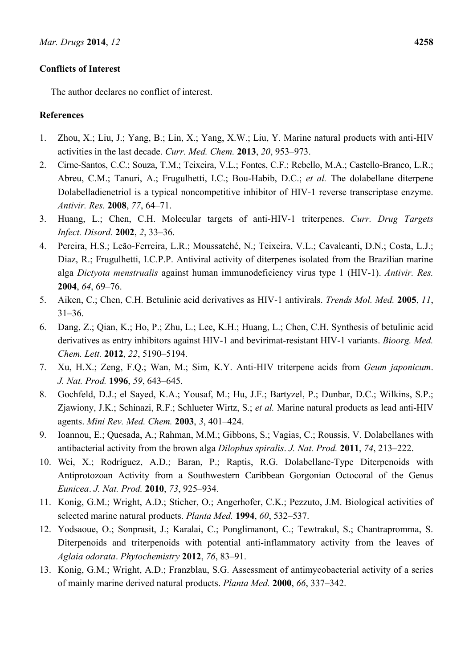# **Conflicts of Interest**

The author declares no conflict of interest.

# **References**

- 1. Zhou, X.; Liu, J.; Yang, B.; Lin, X.; Yang, X.W.; Liu, Y. Marine natural products with anti-HIV activities in the last decade. *Curr. Med. Chem.* **2013**, *20*, 953–973.
- 2. Cirne-Santos, C.C.; Souza, T.M.; Teixeira, V.L.; Fontes, C.F.; Rebello, M.A.; Castello-Branco, L.R.; Abreu, C.M.; Tanuri, A.; Frugulhetti, I.C.; Bou-Habib, D.C.; *et al.* The dolabellane diterpene Dolabelladienetriol is a typical noncompetitive inhibitor of HIV-1 reverse transcriptase enzyme. *Antivir. Res.* **2008**, *77*, 64–71.
- 3. Huang, L.; Chen, C.H. Molecular targets of anti-HIV-1 triterpenes. *Curr. Drug Targets Infect. Disord.* **2002**, *2*, 33–36.
- 4. Pereira, H.S.; Leão-Ferreira, L.R.; Moussatché, N.; Teixeira, V.L.; Cavalcanti, D.N.; Costa, L.J.; Diaz, R.; Frugulhetti, I.C.P.P. Antiviral activity of diterpenes isolated from the Brazilian marine alga *Dictyota menstrualis* against human immunodeficiency virus type 1 (HIV-1). *Antivir. Res.* **2004**, *64*, 69–76.
- 5. Aiken, C.; Chen, C.H. Betulinic acid derivatives as HIV-1 antivirals. *Trends Mol. Med.* **2005**, *11*, 31–36.
- 6. Dang, Z.; Qian, K.; Ho, P.; Zhu, L.; Lee, K.H.; Huang, L.; Chen, C.H. Synthesis of betulinic acid derivatives as entry inhibitors against HIV-1 and bevirimat-resistant HIV-1 variants. *Bioorg. Med. Chem. Lett.* **2012**, *22*, 5190–5194.
- 7. Xu, H.X.; Zeng, F.Q.; Wan, M.; Sim, K.Y. Anti-HIV triterpene acids from *Geum japonicum*. *J. Nat. Prod.* **1996**, *59*, 643–645.
- 8. Gochfeld, D.J.; el Sayed, K.A.; Yousaf, M.; Hu, J.F.; Bartyzel, P.; Dunbar, D.C.; Wilkins, S.P.; Zjawiony, J.K.; Schinazi, R.F.; Schlueter Wirtz, S.; *et al.* Marine natural products as lead anti-HIV agents. *Mini Rev. Med. Chem.* **2003**, *3*, 401–424.
- 9. Ioannou, E.; Quesada, A.; Rahman, M.M.; Gibbons, S.; Vagias, C.; Roussis, V. Dolabellanes with antibacterial activity from the brown alga *Dilophus spiralis*. *J. Nat. Prod.* **2011**, *74*, 213–222.
- 10. Wei, X.; Rodríguez, A.D.; Baran, P.; Raptis, R.G. Dolabellane-Type Diterpenoids with Antiprotozoan Activity from a Southwestern Caribbean Gorgonian Octocoral of the Genus *Eunicea*. *J. Nat. Prod.* **2010**, *73*, 925–934.
- 11. Konig, G.M.; Wright, A.D.; Sticher, O.; Angerhofer, C.K.; Pezzuto, J.M. Biological activities of selected marine natural products. *Planta Med.* **1994**, *60*, 532–537.
- 12. Yodsaoue, O.; Sonprasit, J.; Karalai, C.; Ponglimanont, C.; Tewtrakul, S.; Chantrapromma, S. Diterpenoids and triterpenoids with potential anti-inflammatory activity from the leaves of *Aglaia odorata*. *Phytochemistry* **2012**, *76*, 83–91.
- 13. Konig, G.M.; Wright, A.D.; Franzblau, S.G. Assessment of antimycobacterial activity of a series of mainly marine derived natural products. *Planta Med.* **2000**, *66*, 337–342.